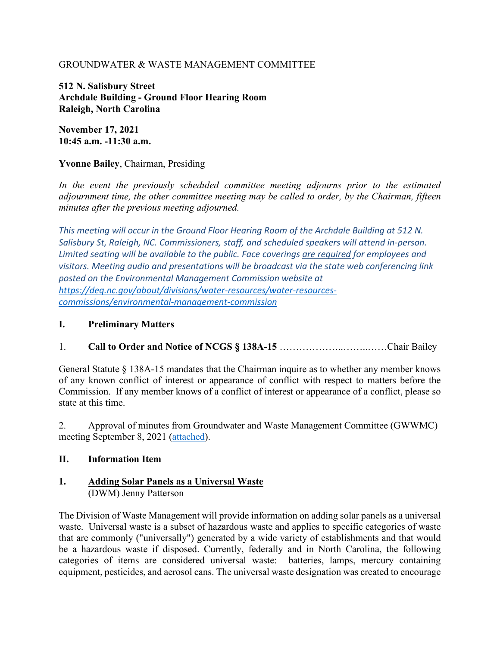### GROUNDWATER & WASTE MANAGEMENT COMMITTEE

**512 N. Salisbury Street Archdale Building - Ground Floor Hearing Room Raleigh, North Carolina**

**November 17, 2021 10:45 a.m. -11:30 a.m.**

#### **Yvonne Bailey**, Chairman, Presiding

*In the event the previously scheduled committee meeting adjourns prior to the estimated adjournment time, the other committee meeting may be called to order, by the Chairman, fifteen minutes after the previous meeting adjourned.*

*This meeting will occur in the Ground Floor Hearing Room of the Archdale Building at 512 N. Salisbury St, Raleigh, NC. Commissioners, staff, and scheduled speakers will attend in-person. Limited seating will be available to the public. Face coverings are required for employees and visitors. Meeting audio and presentations will be broadcast via the state web conferencing link posted on the Environmental Management Commission website at [https://deq.nc.gov/about/divisions/water-resources/water-resources](https://deq.nc.gov/about/divisions/water-resources/water-resources-commissions/environmental-management-commission)[commissions/environmental-management-commission](https://deq.nc.gov/about/divisions/water-resources/water-resources-commissions/environmental-management-commission)*

#### **I. Preliminary Matters**

### 1. **Call to Order and Notice of NCGS § 138A-15** ………………..……..……Chair Bailey

General Statute § 138A-15 mandates that the Chairman inquire as to whether any member knows of any known conflict of interest or appearance of conflict with respect to matters before the Commission. If any member knows of a conflict of interest or appearance of a conflict, please so state at this time.

2. Approval of minutes from Groundwater and Waste Management Committee (GWWMC) meeting September 8, 2021 [\(attached\)](https://deq.nc.gov/media/25377/open).

### **II. Information Item**

#### **1. Adding Solar Panels as a Universal Waste**  (DWM) Jenny Patterson

The Division of Waste Management will provide information on adding solar panels as a universal waste. Universal waste is a subset of hazardous waste and applies to specific categories of waste that are commonly ("universally") generated by a wide variety of establishments and that would be a hazardous waste if disposed. Currently, federally and in North Carolina, the following categories of items are considered universal waste: batteries, lamps, mercury containing equipment, pesticides, and aerosol cans. The universal waste designation was created to encourage